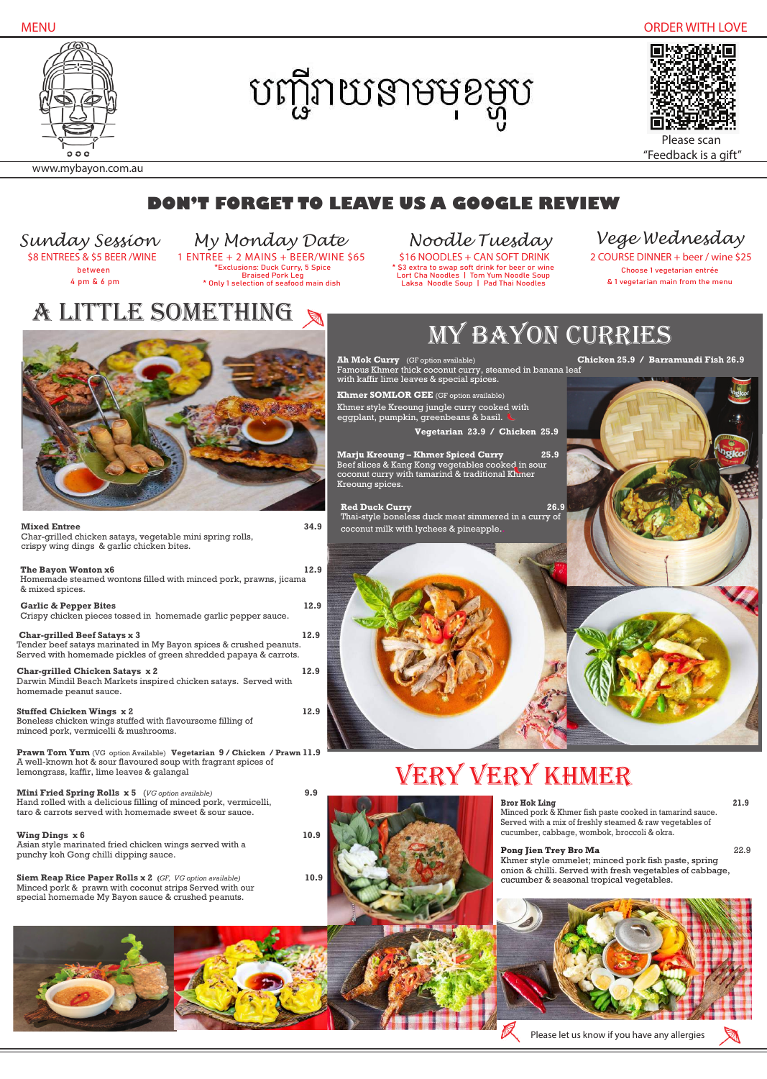Asian style marinated fried chicken wings served with a punchy koh Gong chilli dipping sauce.

**Mini Fried Spring Rolls x 5** (*VG option available)* **9.9** Hand rolled with a delicious filling of minced pork, vermicelli,

taro & carrots served with homemade sweet & sour sauce.

#### **Wing Dings**  $\times 6$  **10.9**

֦

**Siem Reap Rice Paper Rolls x 2 (***GF, VG option available)* **10.9** Minced pork & prawn with coconut strips Served with our special homemade My Bayon sauce & crushed peanuts.

#### **Bror Hok Ling 21.9**

Choose 1 vegetarian entrée & 1 vegetarian main from the menu \$8 ENTREES & \$5 BEER /WINE 1 ENTREE + 2 MAINS + BEER/WINE \$65 \$16 NOODLES + CAN SOFT DRINK 2 COURSE DINNER + beer / wine \$25



### a little something

### **DON'T FORGET TO LEAVE US A GOOGLE REVIEW**







www.mybayon.com.au

**Red Duck Curry 26.9** Thai-style boneless duck meat simmered in a curry of coconut milk with lychees & pineapple..



Minced pork & Khmer fish paste cooked in tamarind sauce. Served with a mix of freshly steamed & raw vegetables of cucumber, cabbage, wombok, broccoli & okra.

### **Pong Jien Trey Bro Ma** 22.9

| <b>Mixed Entree</b><br>Char-grilled chicken satays, vegetable mini spring rolls,<br>crispy wing dings & garlic chicken bites.                                                 | 34.9 |
|-------------------------------------------------------------------------------------------------------------------------------------------------------------------------------|------|
| The Bayon Wonton x6<br>Homemade steamed wontons filled with minced pork, prawns, jicama<br>& mixed spices.                                                                    | 12.9 |
| <b>Garlic &amp; Pepper Bites</b><br>Crispy chicken pieces tossed in homemade garlic pepper sauce.                                                                             | 12.9 |
| <b>Char-grilled Beef Satays x 3</b><br>Tender beef satays marinated in My Bayon spices & crushed peanuts.<br>Served with homemade pickles of green shredded papaya & carrots. | 12.9 |
| Char-grilled Chicken Satays x 2<br>Darwin Mindil Beach Markets inspired chicken satays. Served with<br>homemade peanut sauce.                                                 | 12.9 |
| <b>Stuffed Chicken Wings x 2</b><br>Boneless chicken wings stuffed with flavoursome filling of<br>minced pork, vermicelli & mushrooms.                                        | 12.9 |
| Prawn Tom Yum (VG option Available) Vegetarian 9 / Chicken / Prawn 11.9<br>A well-known hot & sour flavoured soup with fragrant spices of                                     |      |

Khmer style ommelet; minced pork fish paste, spring onion & chilli. Served with fresh vegetables of cabbage, cucumber & seasonal tropical vegetables.



between 4 pm & 6 pm

\*Exclusions: Duck Curry, 5 Spice Braised Pork Leg \* Only 1 selection of seafood main dish



\$3 extra to swap soft drink for beer or wine Lort Cha Noodles | Tom Yum Noodle Soup Laksa Noodle Soup | Pad Thai Noodles

*Sunday Session My Monday Date Noodle Tuesday Vege Wednesday*

**Khmer SOMLOR GEE** (GF option available) Khmer style Kreoung jungle curry cooked with eggplant, pumpkin, greenbeans & basil.

 **Vegetarian 23.9 / Chicken 25.9**

**Marju Kreoung – Khmer Spiced Curry 25.9** Beef slices & Kang Kong vegetables cooked in sour coconut curry with tamarind & traditional Khmer Kreoung spices.

# my bayon curries

**Ah Mok Curry** (GF option available)**Chicken 25.9 / Barramundi Fish 26.9** Famous Khmer thick coconut curry, steamed in banana leaf with kaffir lime leaves & special spices.

 Please scan "Feedback is a gift"

Please let us know if you have any allergies